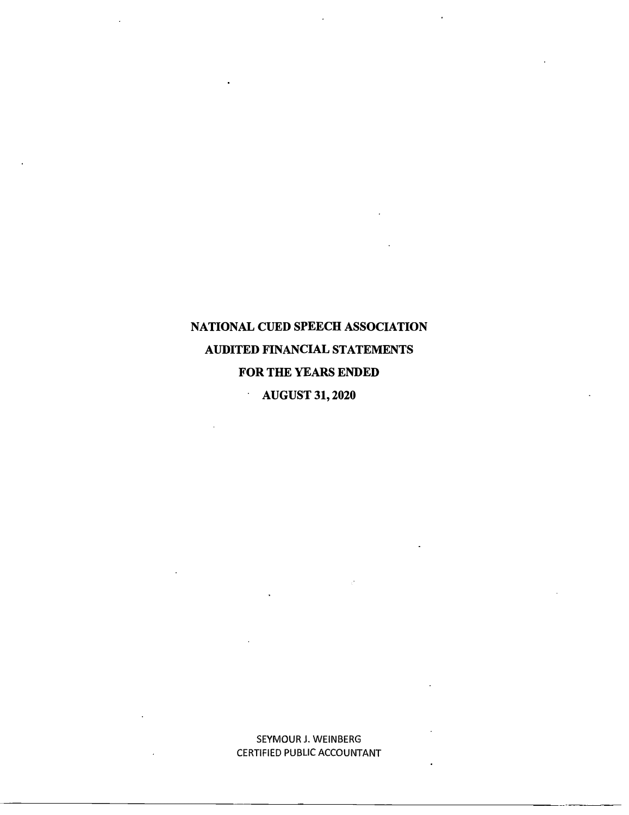# **NATIONAL CUED SPEECH ASSOCIATION AUDITED FINANCIAL STATEMENTS FOR THE YEARS ENDED AUGUST 31, 2020**

SEYMOUR J. WEINBERG CERTIFIED PUBLIC ACCOUNTANT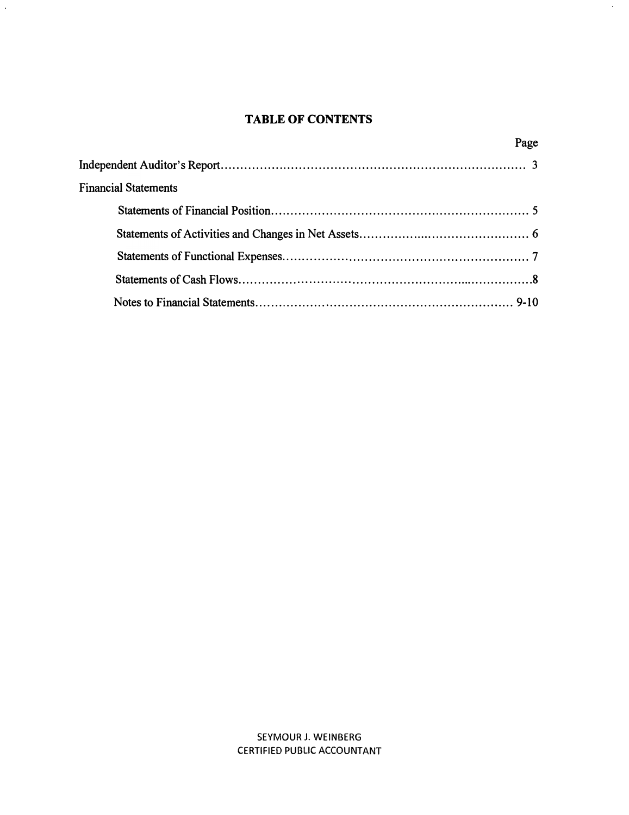## **TABLE OF CONTENTS**

 $\sim$ 

 $\hat{\mathcal{L}}$ 

|                             | Page |
|-----------------------------|------|
|                             |      |
| <b>Financial Statements</b> |      |
|                             |      |
|                             |      |
|                             |      |
|                             |      |
|                             |      |
|                             |      |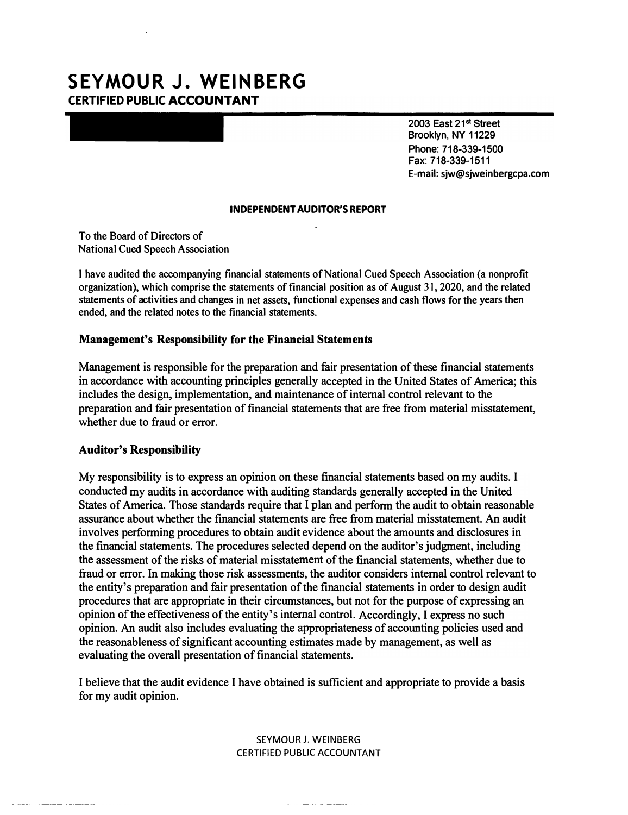## **SEYMOUR J. WEINBERG CERTIFIED PUBLIC ACCOUNTANT**

**2003 East 21**st **Street Brooklyn, NY 11229 Phone: 718-339-1500 Fax: 718-339-1511 E-mail: sjw@sjweinbergcpa.com**

### **INDEPENDENT AUDITOR'S REPORT**

**To the Board of Directors of National Cued Speech Association** 

**I have audited the accompanying financial statements of National Cued Speech Association (a nonprofit organization), which comprise the statements of financial position as of August 31, 2020, and the related statements of activities and changes in net assets, functional expenses and cash flows for the years then ended, and the related notes to the financial statements.** 

### **Management's Responsibility for the Financial Statements**

**Management is responsible for the preparation and fair presentation of these financial statements in accordance with accounting principles generally accepted in the United States of America; this includes the design, implementation, and maintenance of internal control relevant to the preparation and fair presentation of financial statements that are free from material misstatement, whether due to fraud or error.** 

### **Auditor's Responsibility**

**My responsibility is to express an opinion on these financial statements based on my audits. I conducted my audits in accordance with auditing standards generally accepted in the United States of America. Those standards require that I plan and perform the audit to obtain reasonable assurance about whether the financial statements are free from material misstatement. An audit involves performing procedures to obtain audit evidence about the amounts and disclosures in the financial statements. The procedures selected depend on the auditor's judgment, including the assessment of the risks of material misstatement of the financial statements, whether due to fraud or error. In making those risk assessments, the auditor considers internal control relevant to the entity's preparation and fair presentation of the financial statements in order to design audit procedures that are appropriate in their circumstances, but not for the purpose of expressing an opinion of the effectiveness of the entity's internal control. Accordingly, I express no such opinion. An audit also includes evaluating the appropriateness of accounting policies used and the reasonableness of significant accounting estimates made by management, as well as evaluating the overall presentation of financial statements.** 

**I believe that the audit evidence I have obtained is sufficient and appropriate to provide a basis for my audit opinion.** 

### SEYMOUR J. WEINBERG CERTIFIED PUBLIC ACCOUNTANT

<u>and the company of the company of the company of the company of the company of the company of the company of the company of the company of the company of the company of the company of the company of the company of the com</u>

 $\sim 10^{-11}$ 

<u>.</u><br>1914 - Peterson III, president

الواد الفقاف

a marginal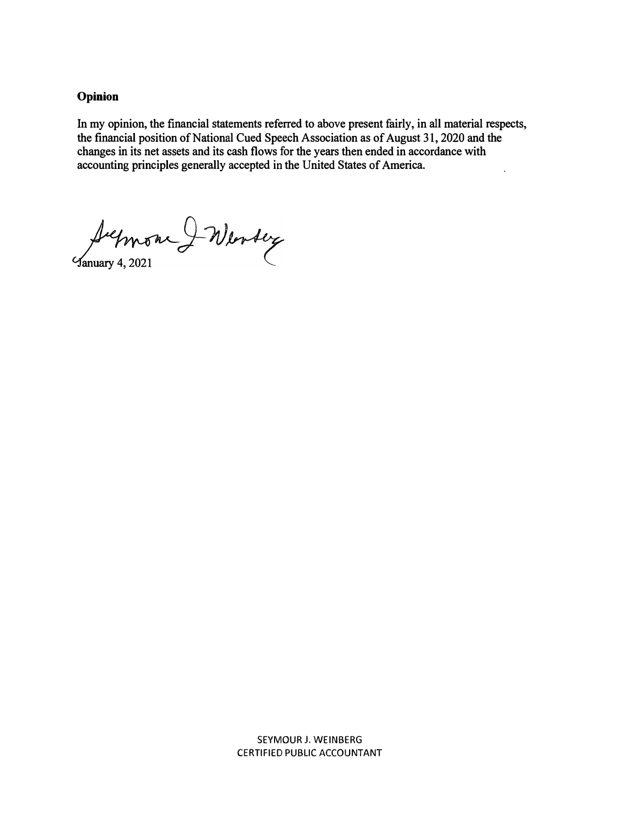### **Opinion**

**In my opinion, the financial statements referred to above present fairly, in all material respects, the financial position of National Cued Speech Association as of August 31, 2020 and the changes in its net assets and its cash flows for the years then ended in accordance with accounting principles generally accepted in the United States of America.** 

Sulmon Intersey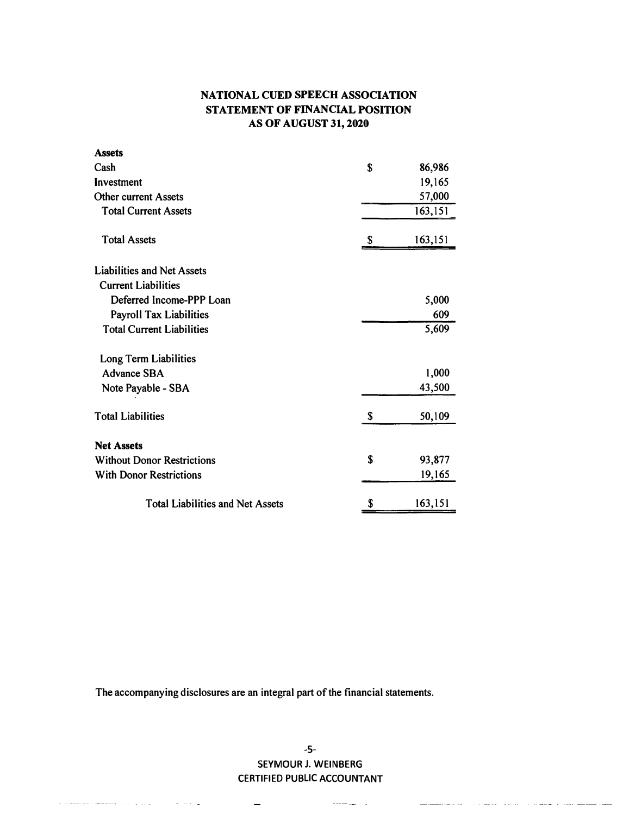## **NATIONAL CUED SPEECH ASSOCIATION STATEMENT OF FINANCIAL POSITION AS OF AUGUST 31, 2020**

| <b>Assets</b>                           |               |
|-----------------------------------------|---------------|
| Cash                                    | \$<br>86,986  |
| Investment                              | 19,165        |
| <b>Other current Assets</b>             | 57,000        |
| <b>Total Current Assets</b>             | 163,151       |
| <b>Total Assets</b>                     | 163,151       |
| <b>Liabilities and Net Assets</b>       |               |
| <b>Current Liabilities</b>              |               |
| Deferred Income-PPP Loan                | 5,000         |
| <b>Payroll Tax Liabilities</b>          | 609           |
| <b>Total Current Liabilities</b>        | 5,609         |
| Long Term Liabilities                   |               |
| <b>Advance SBA</b>                      | 1,000         |
| Note Payable - SBA                      | 43,500        |
| <b>Total Liabilities</b>                | \$<br>50,109  |
| <b>Net Assets</b>                       |               |
| <b>Without Donor Restrictions</b>       | \$<br>93,877  |
| <b>With Donor Restrictions</b>          | 19,165        |
| <b>Total Liabilities and Net Assets</b> | \$<br>163,151 |

**The accompanying disclosures are an integral part of the financial statements.** 

 $\sim$   $\sim$   $\sim$   $\sim$ 

 $\sim 10^{11}$  and  $\sim 10^{11}$ 

 $\sigma$  community momentum is a second contract of

-5- **SEYMOUR J. WEINBERG CERTIFIED PUBLIC ACCOUNTANT** 

المستحصل المستحققة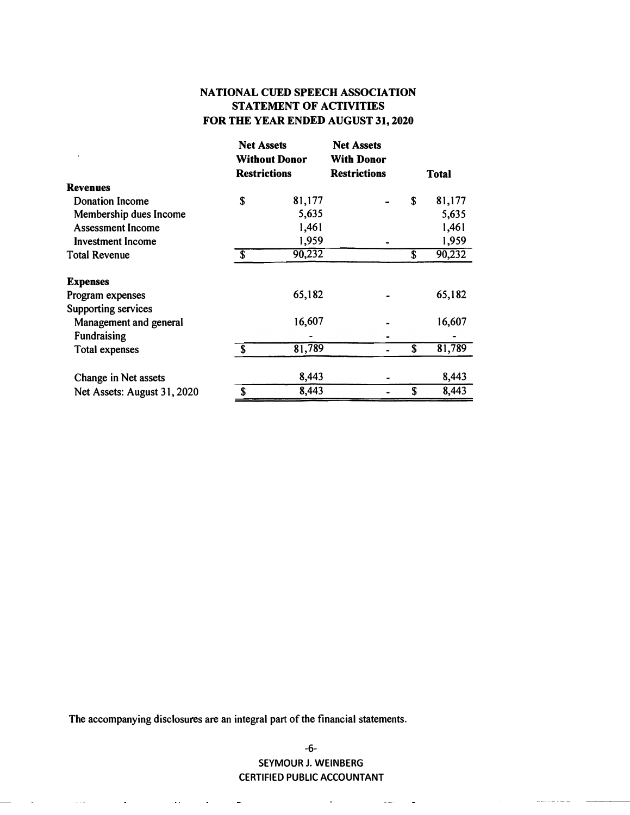## **NATIONAL CUED SPEECH ASSOCIATION STATEMENT OF ACTIVITIES FOR THE YEAR ENDED AUGUST 31, 2020**

|                             | <b>Net Assets</b><br><b>Restrictions</b> | <b>Without Donor</b> | <b>Net Assets</b><br><b>With Donor</b><br><b>Restrictions</b> | <b>Total</b> |
|-----------------------------|------------------------------------------|----------------------|---------------------------------------------------------------|--------------|
| <b>Revenues</b>             |                                          |                      |                                                               |              |
| <b>Donation Income</b>      | \$                                       | 81,177               |                                                               | \$<br>81,177 |
| Membership dues Income      |                                          | 5,635                |                                                               | 5,635        |
| <b>Assessment Income</b>    |                                          | 1,461                |                                                               | 1,461        |
| Investment Income           |                                          | 1,959                |                                                               | 1,959        |
| <b>Total Revenue</b>        | $\sqrt[3]{2}$                            | 90,232               |                                                               | \$<br>90,232 |
| <b>Expenses</b>             |                                          |                      |                                                               |              |
| Program expenses            |                                          | 65,182               |                                                               | 65,182       |
| Supporting services         |                                          |                      |                                                               |              |
| Management and general      |                                          | 16,607               |                                                               | 16,607       |
| Fundraising                 |                                          |                      |                                                               |              |
| Total expenses              | $\sqrt[3]{2}$                            | 81,789               |                                                               | \$<br>81,789 |
| Change in Net assets        |                                          | 8,443                |                                                               | 8,443        |
| Net Assets: August 31, 2020 | \$                                       | 8,443                |                                                               | \$<br>8,443  |

The accompanying disclosures are an integral part of the financial statements.

 $\Delta \phi$ 

 $\label{eq:2.1} \begin{split} \mathcal{L}_{\text{max}}(\mathcal{L}_{\text{max}},\mathcal{L}_{\text{max}},\mathcal{L}_{\text{max}},\mathcal{L}_{\text{max}},\mathcal{L}_{\text{max}}), \end{split}$ 

 $\mathcal{L}^{\text{max}}$  and  $\mathcal{L}^{\text{max}}$ 

 $\sim 100$  km s  $^{-1}$ 

 $\mathcal{L}^{\mathcal{L}}$ 

### **-6- SEYMOUR J. WEINBERG CERTIFIED PUBLIC ACCOUNTANT**

**Contract Contract** 

 $\label{eq:3.1} \mathcal{L} = \mathcal{L} \left( \mathcal{L} \right) \left( \mathcal{L} \right) \left( \mathcal{L} \right) \left( \mathcal{L} \right) \left( \mathcal{L} \right) \left( \mathcal{L} \right) \left( \mathcal{L} \right) \left( \mathcal{L} \right) \left( \mathcal{L} \right) \left( \mathcal{L} \right) \left( \mathcal{L} \right) \left( \mathcal{L} \right) \left( \mathcal{L} \right) \left( \mathcal{L} \right) \left( \mathcal{L} \right) \left( \mathcal{L} \right) \left( \mathcal$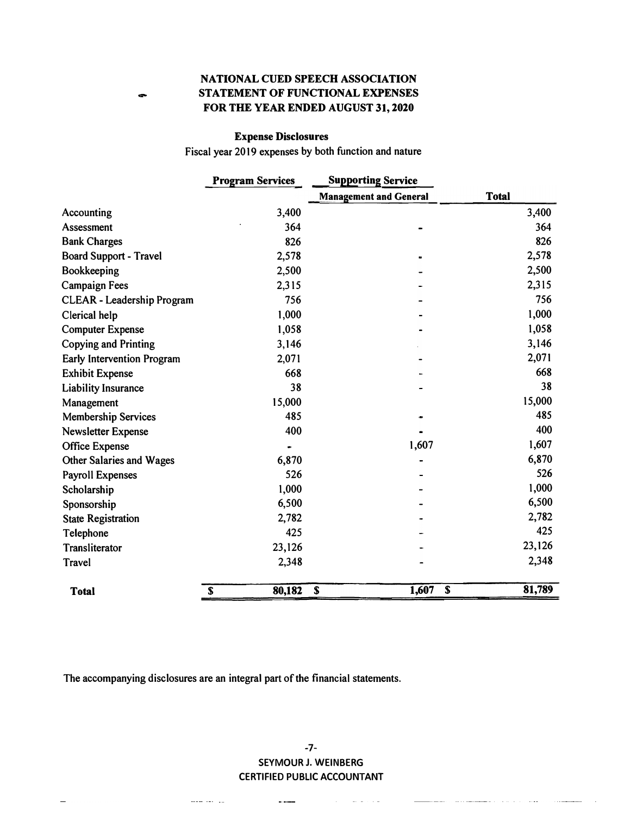### **NATIONAL CUED SPEECH ASSOCIATION STATEMENT OF FUNCTIONAL EXPENSES FOR THE YEAR ENDED AUGUST 31, 2020**

## **Expense Disclosures**

-

**Fiscal year 2019 expenses by both function and nature** 

|                                   | <b>Program Services</b> | <b>Supporting Service</b>     |                              |
|-----------------------------------|-------------------------|-------------------------------|------------------------------|
|                                   |                         | <b>Management and General</b> | <b>Total</b>                 |
| Accounting                        | 3,400                   |                               | 3,400                        |
| Assessment                        | 364                     |                               | 364                          |
| <b>Bank Charges</b>               | 826                     |                               | 826                          |
| <b>Board Support - Travel</b>     | 2,578                   |                               | 2,578                        |
| Bookkeeping                       | 2,500                   |                               | 2,500                        |
| <b>Campaign Fees</b>              | 2,315                   |                               | 2,315                        |
| <b>CLEAR</b> - Leadership Program | 756                     |                               | 756                          |
| Clerical help                     | 1,000                   |                               | 1,000                        |
| <b>Computer Expense</b>           | 1,058                   |                               | 1,058                        |
| <b>Copying and Printing</b>       | 3,146                   |                               | 3,146                        |
| Early Intervention Program        | 2,071                   |                               | 2,071                        |
| <b>Exhibit Expense</b>            | 668                     |                               | 668                          |
| <b>Liability Insurance</b>        | 38                      |                               | 38                           |
| Management                        | 15,000                  |                               | 15,000                       |
| <b>Membership Services</b>        | 485                     |                               | 485                          |
| Newsletter Expense                | 400                     |                               | 400                          |
| Office Expense                    |                         | 1,607                         | 1,607                        |
| Other Salaries and Wages          | 6,870                   |                               | 6,870                        |
| Payroll Expenses                  | 526                     |                               | 526                          |
| Scholarship                       | 1,000                   |                               | 1,000                        |
| Sponsorship                       | 6,500                   |                               | 6,500                        |
| <b>State Registration</b>         | 2,782                   |                               | 2,782                        |
| Telephone                         | 425                     |                               | 425                          |
| Transliterator                    | 23,126                  |                               | 23,126                       |
| Travel                            | 2,348                   |                               | 2,348                        |
| <b>Total</b>                      | 80,182<br>\$            | 1,607<br>$\boldsymbol{s}$     | 81,789<br>$\pmb{\mathbb{S}}$ |

**The accompanying disclosures are an integral part of the financial statements.** 

المداحية التباين

and the con-

<u> Alban (</u> ) and ( ) and ( ) and ( ) and ( ) and ( ) and ( ) and ( ) and ( ) and ( ) and ( ) and ( ) and ( ) and ( ) and ( ) and ( ) and ( ) and ( ) and ( ) and ( ) and ( ) and ( ) and ( ) and ( ) and ( ) and ( ) and ( ) a

 $\sim$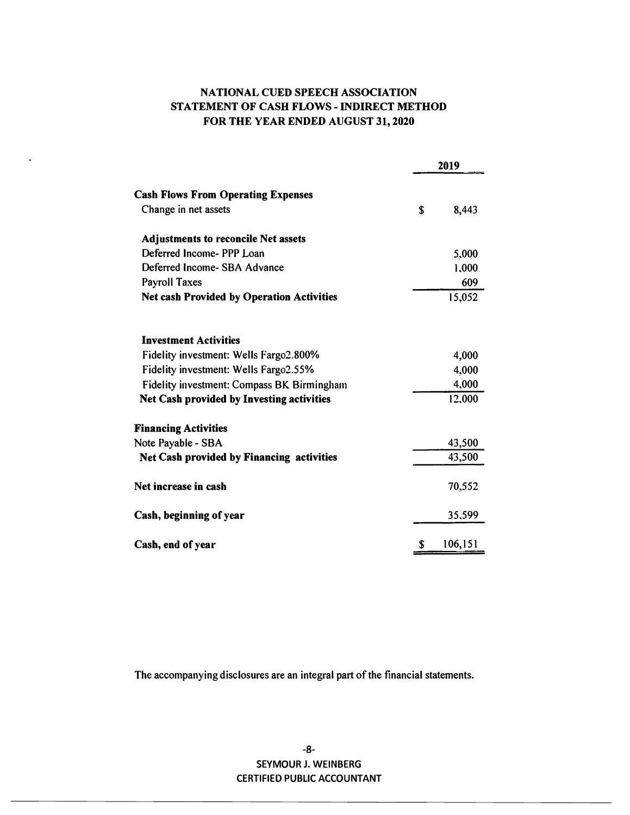## **NATIONAL CUED SPEECH ASSOCIATION STATEMENT OF CASH FLOWS- INDIRECT METHOD FOR THE YEAR ENDED AUGUST 31, 2020**

|                                                  |    | 2019    |  |
|--------------------------------------------------|----|---------|--|
| <b>Cash Flows From Operating Expenses</b>        |    |         |  |
| Change in net assets                             | \$ | 8,443   |  |
| <b>Adjustments to reconcile Net assets</b>       |    |         |  |
| Deferred Income- PPP Loan                        |    | 5,000   |  |
| Deferred Income- SBA Advance                     |    | 1,000   |  |
| <b>Payroll Taxes</b>                             |    | 609     |  |
| <b>Net cash Provided by Operation Activities</b> |    | 15,052  |  |
| <b>Investment Activities</b>                     |    |         |  |
| Fidelity investment: Wells Fargo2.800%           |    | 4,000   |  |
| Fidelity investment: Wells Fargo2.55%            |    | 4,000   |  |
| Fidelity investment: Compass BK Birmingham       |    | 4,000   |  |
| <b>Net Cash provided by Investing activities</b> |    | 12,000  |  |
| <b>Financing Activities</b>                      |    |         |  |
| Note Payable - SBA                               |    | 43,500  |  |
| Net Cash provided by Financing activities        |    | 43,500  |  |
| Net increase in cash                             |    | 70,552  |  |
| Cash, beginning of year                          |    | 35,599  |  |
| Cash, end of year                                | S  | 106,151 |  |

The accompanying disclosures are an integral part of the financial statements.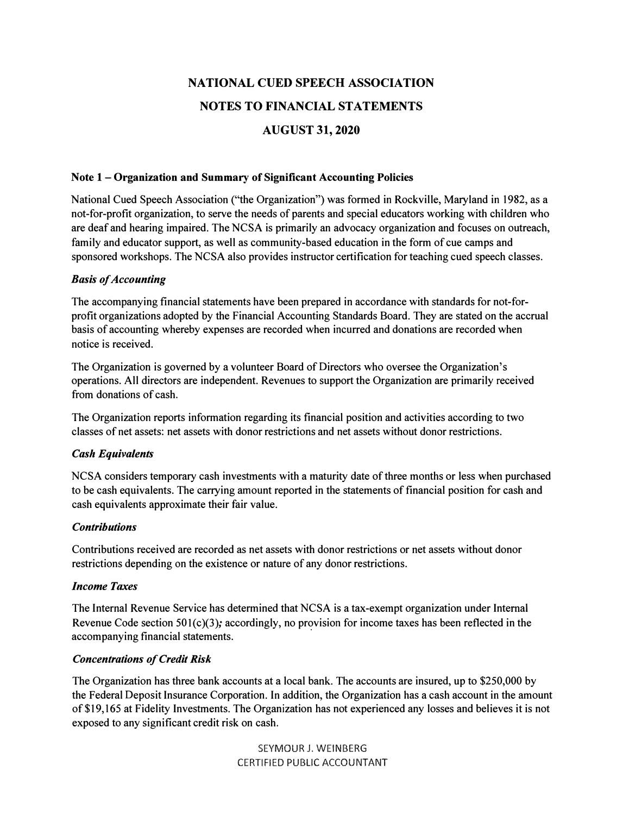## **NATIONAL CUED SPEECH ASSOCIATION NOTES TO FINANCIAL STATEMENTS AUGUST 31, 2020**

### **Note 1 - Organization and Summary of Significant Accounting Policies**

National Cued Speech Association (''the Organization") was formed in Rockville, Maryland in 1982, as a not-for-profit organization, to serve the needs of parents and special educators working with children who are deaf and hearing impaired. The NCSA is primarily an advocacy organization and focuses on outreach, family and educator support, as well as community-based education in the form of cue camps and sponsored workshops. The NCSA also provides instructor certification for teaching cued speech classes.

### *Basis of Accounting*

The accompanying financial statements have been prepared in accordance with standards for not-forprofit organizations adopted by the Financial Accounting Standards Board. They are stated on the accrual basis of accounting whereby expenses are recorded when incurred and donations are recorded when notice is received.

The Organization is governed by a volunteer Board of Directors who oversee the Organization's operations. All directors are independent. Revenues to support the Organization are primarily received from donations of cash.

The Organization reports information regarding its financial position and activities according to two classes of net assets: net assets with donor restrictions and net assets without donor restrictions.

### *Cash Equivalents*

NCSA considers temporary cash investments with a maturity date of three months or less when purchased to be cash equivalents. The carrying amount reported in the statements of financial position for cash and cash equivalents approximate their fair value.

### *Contributions*

Contributions received are recorded as net assets with donor restrictions or net assets without donor restrictions depending on the existence or nature of any donor restrictions.

### *Income Taxes*

The Internal Revenue Service has determined that NCSA is a tax-exempt organization under Internal Revenue Code section  $501(c)(3)$ ; accordingly, no provision for income taxes has been reflected in the accompanying financial statements.

### *Concentrations of Credit Risk*

The Organization has three bank accounts at a local bank. The accounts are insured, up to \$250,000 by the Federal Deposit Insurance Corporation. In addition, the Organization has a cash account in the amount of \$19, 165 at Fidelity Investments. The Organization has not experienced any losses and believes it is not exposed to any significant credit risk on cash.

> SEYMOUR J. WEINBERG CERTIFIED PUBLIC ACCOUNTANT